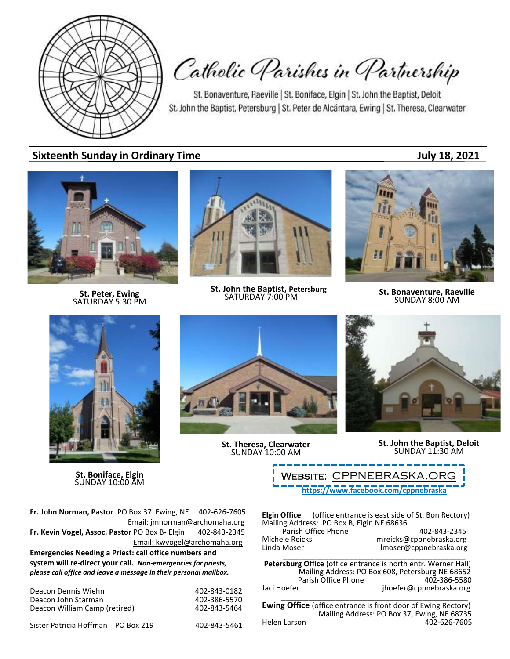

Catholic Parishes in Partnership

St. Bonaventure, Raeville | St. Boniface, Elgin | St. John the Baptist, Deloit St. John the Baptist, Petersburg | St. Peter de Alcántara, Ewing | St. Theresa, Clearwater

## **Sixteenth Sunday in Ordinary Time July 18, 2021**



**St. Peter, Ewing** SATURDAY 5:30 PM



**St. John the Baptist, Petersburg**<br>SATURDAY 7:00 PM



**SATURDAY 7:00 PM St. Bonaventure, Raeville**<br>SATURDAY 7:00 PM **SUNDAY 8:00 AM** 



**St. Boniface, Elgin** SUNDAY 10:00 AM

**St. Theresa, Clearwater** SUNDAY 10:00 AM



**St. John the Baptist, Deloit** SUNDAY 11:30 AM

**<https://www.facebook.com/cppnebraska>** WEBSITE: CPPNEBRASKA.OR

**Fr. John Norman, Pastor** PO Box 37 Ewing, NE 402-626-7605 Email: jmnorman@archomaha.org **Fr. Kevin Vogel, Assoc. Pastor** PO Box B- Elgin 402-843-2345 Email: [kwvogel@archomaha.org](mailto:kwvogel@archomaha.org) **Emergencies Needing a Priest: call office numbers and system will re-direct your call.** *Non-emergencies for priests, please call office and leave a message in their personal mailbox.*

| Deacon Dennis Wiehn           | 402-843-0182 |
|-------------------------------|--------------|
| Deacon John Starman           | 402-386-5570 |
| Deacon William Camp (retired) | 402-843-5464 |
|                               |              |

Sister Patricia Hoffman PO Box 219 402-843-5461

**Elgin Office** (office entrance is east side of St. Bon Rectory) Mailing Address: PO Box B, Elgin NE 68636 Parish Office Phone 402-843-2345<br>mreicks@cppnebraska.org metalsone Michele Reicks<br>
Linda Moser material moser@cppnebraska.org<br>
Imoser@cppnebraska.org Imoser@cppnebraska.org

\_\_\_\_\_\_\_\_\_\_\_\_\_\_\_\_\_\_\_\_\_\_\_\_\_\_\_\_\_\_\_\_\_\_\_\_\_\_\_\_\_\_\_\_ **Petersburg Office** (office entrance is north entr. Werner Hall) Mailing Address: PO Box 608, Petersburg NE 68652 Parish Office Phone Jaci Hoefer in the interface in the jhoefer@cppnebraska.org \_\_\_\_\_\_\_\_\_\_\_\_\_\_\_\_\_\_\_\_\_\_\_\_\_\_\_\_\_\_\_\_\_\_\_\_\_\_\_\_\_

**Ewing Office** (office entrance is front door of Ewing Rectory) Mailing Address: PO Box 37, Ewing, NE 68735<br>Helen Larson 402-626-7605 402-626-7605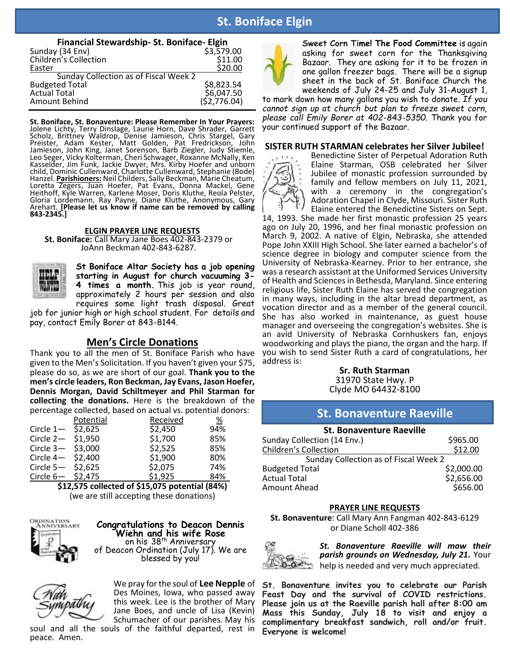# **St. Boniface Elgin**

| Financial Stewardship- St. Boniface- Elgin |              |  |  |  |  |
|--------------------------------------------|--------------|--|--|--|--|
| Sunday (34 Env)                            | \$3,579.00   |  |  |  |  |
| Children's Collection                      | \$11.00      |  |  |  |  |
| Easter                                     | \$20.00      |  |  |  |  |
| Sunday Collection as of Fiscal Week 2      |              |  |  |  |  |
| <b>Budgeted Total</b>                      | \$8,823.54   |  |  |  |  |
| <b>Actual Total</b>                        | \$6,047.50   |  |  |  |  |
| Amount Behind                              | (52, 776.04) |  |  |  |  |

**St. Boniface, St. Bonaventure: Please Remember In Your Prayers:** Jolene Lichty, Terry Dinslage, Laurie Horn, Dave Shrader, Garrett Scholz, Brittney Waldrop, Denise Jamieson, Chris Stargel, Gary Preister, Adam Kester, Matt Golden, Pat Fredrickson, John Jamieson, John King, Janet Sorenson, Barb Ziegler, Judy Stiemle, Leo Seger, Vicky Kolterman, Cheri Schwager, Roxanne McNally, Ken Kasselder, Jim Funk, Jackie Dwyer, Mrs. Kirby Hoefer and unborn child, Dominic Cullenward, Charlotte Cullenward, Stephanie (Bode) Hanzel. **Parishioners:** Neil Childers, Sally Beckman, Marie Cheatum, Loretta Zegers, Juan Hoefer, Pat Evans, Donna Mackel, Gene Heithoff, Kyle Warren, Karlene Moser, Doris Kluthe, Reola Pelster, Gloria Lordemann, Ray Payne, Diane Kluthe, Anonymous, Gary Arehart. **[Please let us know if name can be removed by calling 843-2345.]**

#### **ELGIN PRAYER LINE REQUESTS**

**St. Boniface:** Call Mary Jane Boes 402-843-2379 or JoAnn Beckman 402-843-6287.



**St Boniface Altar Society has a job opening starting in August for church vacuuming 3- 4 times a month.** This job is year round, approximately 2 hours per session and also requires some light trash disposal. Great

job for junior high or high school student. For details and pay, contact Emily Borer at 843-8144.

#### **Men's Circle Donations**

Thank you to all the men of St. Boniface Parish who have given to the Men's Solicitation. If you haven't given your \$75, please do so, as we are short of our goal. **Thank you to the men's circle leaders, Ron Beckman, Jay Evans, Jason Hoefer, Dennis Morgan, David Schiltmeyer and Phil Starman for collecting the donations.** Here is the breakdown of the percentage collected, based on actual vs. potential donors:

|             | Potential | Received | %   |
|-------------|-----------|----------|-----|
| Circle $1-$ | \$2,625   | \$2,450  | 94% |
| Circle $2-$ | \$1,950   | \$1,700  | 85% |
| Circle $3-$ | \$3,000   | \$2,525  | 85% |
| Circle $4-$ | \$2,400   | \$1,900  | 80% |
| Circle $5-$ | \$2,625   | \$2,075  | 74% |
| Circle $6-$ | \$2,475   | \$1,925  | 84% |

**\$12,575 collected of \$15,075 potential (84%)** (we are still accepting these donations)



**Congratulations to Deacon Dennis Wiehn and his wife Rose** on his 38<sup>th</sup> Anniversary of Deacon Ordination (July 17). We are blessed by you!



We pray for the soul of **Lee Nepple** of Des Moines, Iowa, who passed away this week. Lee is the brother of Mary Jane Boes, and uncle of Lisa (Kevin) Schumacher of our parishes. May his

soul and all the souls of the faithful departed, rest in peace. Amen.



**Sweet Corn Time! The Food Committee** is again asking for sweet corn for the Thanksgiving Bazaar. They are asking for it to be frozen in one gallon freezer bags. There will be a signup sheet in the back of St. Boniface Church the weekends of July 24-25 and July 31-August 1,

to mark down how many gallons you wish to donate. *If you cannot sign up at church but plan to freeze sweet corn, please call Emily Borer at 402-843-5350.* Thank you for your continued support of the Bazaar.

#### **SISTER RUTH STARMAN celebrates her Silver Jubilee!**



Benedictine Sister of Perpetual Adoration Ruth Elaine Starman, OSB celebrated her Silver Jubilee of monastic profession surrounded by family and fellow members on July 11, 2021, with a ceremony in the congregation's Adoration Chapel in Clyde, Missouri. Sister Ruth Elaine entered the Benedictine Sisters on Sept.

14, 1993. She made her first monastic profession 25 years ago on July 20, 1996, and her final monastic profession on March 9, 2002. A native of Elgin, Nebraska, she attended Pope John XXIII High School. She later earned a bachelor's of science degree in biology and computer science from the University of Nebraska-Kearney. Prior to her entrance, she was a research assistant at the Uniformed Services University of Health and Sciences in Bethesda, Maryland. Since entering religious life, Sister Ruth Elaine has served the congregation in many ways, including in the altar bread department, as vocation director and as a member of the general council. She has also worked in maintenance, as guest house manager and overseeing the congregation's websites. She is an avid University of Nebraska Cornhuskers fan, enjoys woodworking and plays the piano, the organ and the harp. If you wish to send Sister Ruth a card of congratulations, her address is:

> **Sr. Ruth Starman** 31970 State Hwy. P Clyde MO 64432-8100

# **Financial St. Bonaventure Raeville**

| <b>St. Bonaventure Raeville</b>       |  |  |  |  |  |
|---------------------------------------|--|--|--|--|--|
| \$965.00                              |  |  |  |  |  |
| \$12.00                               |  |  |  |  |  |
| Sunday Collection as of Fiscal Week 2 |  |  |  |  |  |
| \$2,000.00                            |  |  |  |  |  |
| \$2,656.00                            |  |  |  |  |  |
| \$656.00                              |  |  |  |  |  |
|                                       |  |  |  |  |  |

#### **PRAYER LINE REQUESTS**

**St. Bonaventure**: Call Mary Ann Fangman 402-843-6129 or Diane Scholl 402-386



*St. Bonaventure Raeville will mow their parish grounds on Wednesday, July 21.* Your help is needed and very much appreciated.

**St. Bonaventure invites you to celebrate our Parish Feast Day and the survival of COVID restrictions. Please join us at the Raeville parish hall after 8:00 am Mass this Sunday, July 18 to visit and enjoy a complimentary breakfast sandwich, roll and/or fruit. Everyone is welcome!**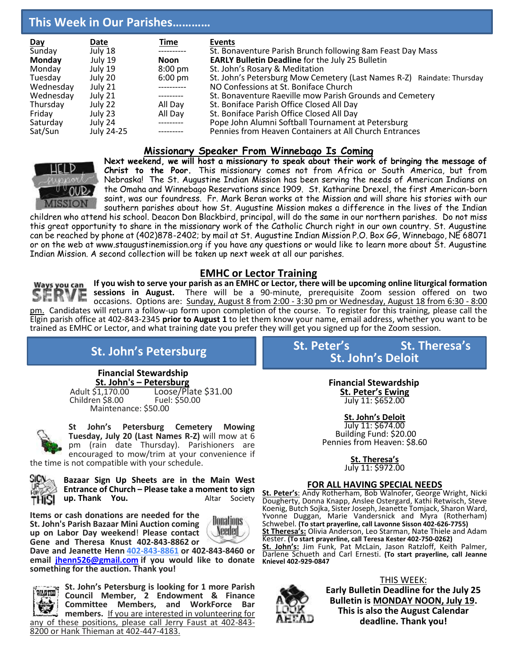# **This Week in Our Parishes…………**

| Day       | <b>Date</b> | <u>Time</u>       | <b>Events</b>                                                          |
|-----------|-------------|-------------------|------------------------------------------------------------------------|
| Sunday    | July 18     | -----------       | St. Bonaventure Parish Brunch following 8am Feast Day Mass             |
| Monday    | July 19     | Noon              | <b>EARLY Bulletin Deadline for the July 25 Bulletin</b>                |
| Monday    | July 19     | $8:00 \text{ pm}$ | St. John's Rosary & Meditation                                         |
| Tuesday   | July 20     | $6:00 \text{ pm}$ | St. John's Petersburg Mow Cemetery (Last Names R-Z) Raindate: Thursday |
| Wednesday | July 21     | .                 | NO Confessions at St. Boniface Church                                  |
| Wednesday | July 21     | ---------         | St. Bonaventure Raeville mow Parish Grounds and Cemetery               |
| Thursday  | July 22     | All Day           | St. Boniface Parish Office Closed All Day                              |
| Friday    | July 23     | All Day           | St. Boniface Parish Office Closed All Day                              |
| Saturday  | July 24     | ----------        | Pope John Alumni Softball Tournament at Petersburg                     |
| Sat/Sun   | July 24-25  |                   | Pennies from Heaven Containers at All Church Entrances                 |

### **Missionary Speaker From Winnebago Is Coming**



**Next weekend, we will host a missionary to speak about their work of bringing the message of Christ to the Poor.** This missionary comes not from Africa or South America, but from Nebraska! The St. Augustine Indian Mission has been serving the needs of American Indians on the Omaha and Winnebago Reservations since 1909. St. Katharine Drexel, the first American-born saint, was our foundress. Fr. Mark Beran works at the Mission and will share his stories with our southern parishes about how St. Augustine Mission makes a difference in the lives of the Indian

children who attend his school. Deacon Don Blackbird, principal, will do the same in our northern parishes. Do not miss this great opportunity to share in the missionary work of the Catholic Church right in our own country. St. Augustine can be reached by phone at (402)878-2402; by mail at St. Augustine Indian Mission P.O. Box GG, Winnebago, NE 68071 or on the web at www.staugustinemission.org if you have any questions or would like to learn more about St. Augustine Indian Mission. A second collection will be taken up next week at all our parishes.

# **EMHC or Lector Training**

**If you wish to serve your parish as an EMHC or Lector, there will be upcoming online liturgical formation**  Ways you can **sessions in August.** There will be a 90-minute, prerequisite Zoom session offered on two occasions. Options are: Sunday, August 8 from 2:00 - 3:30 pm or Wednesday, August 18 from 6:30 - 8:00 pm. Candidates will return a follow-up form upon completion of the course. To register for this training, please call the Elgin parish office at 402-843-2345 **prior to August 1** to let them know your name, email address, whether you want to be trained as EMHC or Lector, and what training date you prefer they will get you signed up for the Zoom session.

 **Financial Stewardship**

**St. John's – Petersburg** Loose/Plate \$31.00<br>Fuel: \$50.00 Children \$8.00 Maintenance: \$50.00



í

**St John's Petersburg Cemetery Mowing Tuesday, July 20 (Last Names R-Z)** will mow at 6 pm (rain date Thursday). Parishioners are encouraged to mow/trim at your convenience if

the time is not compatible with your schedule.



**Bazaar Sign Up Sheets are in the Main West Entrance of Church – Please take a moment to sign up.** Thank You.

**Items or cash donations are needed for the St. John's Parish Bazaar Mini Auction coming up on Labor Day weekend**! **Please contact Gene and Theresa Knust 402-843-8862 or**



**Dave and Jeanette Henn [402-843-8861](tel:402-386-5507) or 402-843-8460 or email [jhenn526@gmail.com](mailto:jhenn526@gmail.com) if you would like to donate something for the auction. Thank you!**



**St. John's Petersburg is looking for 1 more Parish Council Member, 2 Endowment & Finance Committee Members, and WorkForce Bar members.** If you are interested in volunteering for any of these positions, please call Jerry Faust at 402-843- 8200 or Hank Thieman at 402-447-4183.

**St. John's Petersburg St. Peter's St. Theresa's St. John's Deloit**

> **Financial Stewardship St. Peter's Ewing**  July 11: \$652.00

**St. John's Deloit** July 11: \$674.00 Building Fund: \$20.00 Pennies from Heaven: \$8.60

> **St. Theresa's** July 11: \$972.00

#### **FOR ALL HAVING SPECIAL NEEDS**

**St. Peter's**: Andy Rotherham, Bob Walnofer, George Wright, Nicki Dougherty, Donna Knapp, Anslee Ostergard, Kathi Retwisch, Steve Koenig, Butch Sojka, Sister Joseph, Jeanette Tomjack, Sharon Ward, Yvonne Duggan, Marie Vandersnick and Myra (Rotherham) Schwebel. **(To start prayerline, call Lavonne Sisson 402-626-7755) St Theresa's:** Olivia Anderson, Leo Starman, Nate Thiele and Adam Kester. **(To start prayerline, call Teresa Kester 402-750-0262) St. John's:** Jim Funk, Pat McLain, Jason Ratzloff, Keith Palmer, Darlene Schueth and Carl Ernesti. **(To start prayerline, call Jeanne Knievel 402-929-0847**



THIS WEEK: **Early Bulletin Deadline for the July 25 Bulletin is MONDAY NOON, July 19. This is also the August Calendar deadline. Thank you!**